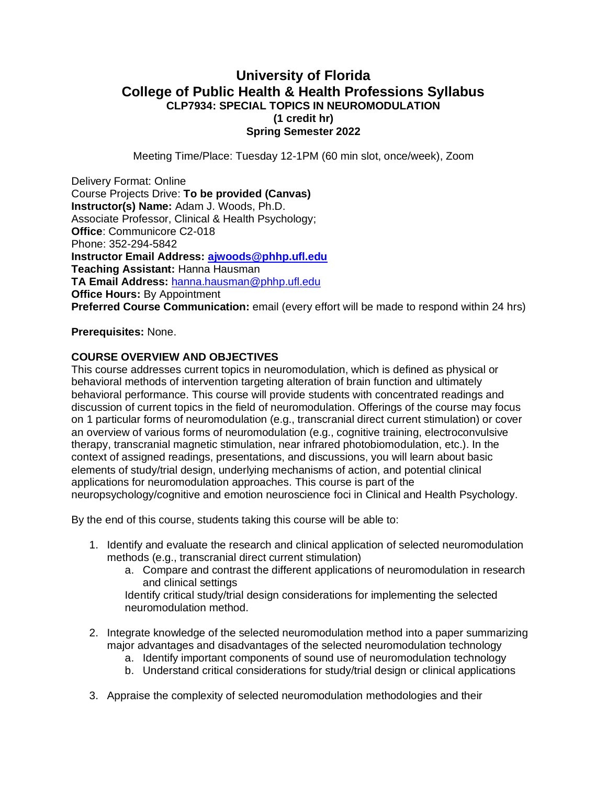# **University of Florida College of Public Health & Health Professions Syllabus CLP7934: SPECIAL TOPICS IN NEUROMODULATION (1 credit hr) Spring Semester 2022**

Meeting Time/Place: Tuesday 12-1PM (60 min slot, once/week), Zoom

Delivery Format: Online Course Projects Drive: **To be provided (Canvas) Instructor(s) Name:** Adam J. Woods, Ph.D. Associate Professor, Clinical & Health Psychology; **Office**: Communicore C2-018 Phone: 352-294-5842 **Instructor Email Address: [ajwoods@phhp.ufl.edu](mailto:ajwoods@phhp.ufl.edu) Teaching Assistant:** Hanna Hausman **TA Email Address:** [hanna.hausman@phhp.ufl.edu](mailto:hanna.hausman@phhp.ufl.edu) **Office Hours: By Appointment Preferred Course Communication:** email (every effort will be made to respond within 24 hrs)

### **Prerequisites:** None.

### **COURSE OVERVIEW AND OBJECTIVES**

This course addresses current topics in neuromodulation, which is defined as physical or behavioral methods of intervention targeting alteration of brain function and ultimately behavioral performance. This course will provide students with concentrated readings and discussion of current topics in the field of neuromodulation. Offerings of the course may focus on 1 particular forms of neuromodulation (e.g., transcranial direct current stimulation) or cover an overview of various forms of neuromodulation (e.g., cognitive training, electroconvulsive therapy, transcranial magnetic stimulation, near infrared photobiomodulation, etc.). In the context of assigned readings, presentations, and discussions, you will learn about basic elements of study/trial design, underlying mechanisms of action, and potential clinical applications for neuromodulation approaches. This course is part of the neuropsychology/cognitive and emotion neuroscience foci in Clinical and Health Psychology.

By the end of this course, students taking this course will be able to:

- 1. Identify and evaluate the research and clinical application of selected neuromodulation methods (e.g., transcranial direct current stimulation)
	- a. Compare and contrast the different applications of neuromodulation in research and clinical settings

Identify critical study/trial design considerations for implementing the selected neuromodulation method.

- 2. Integrate knowledge of the selected neuromodulation method into a paper summarizing major advantages and disadvantages of the selected neuromodulation technology
	- a. Identify important components of sound use of neuromodulation technology
	- b. Understand critical considerations for study/trial design or clinical applications
- 3. Appraise the complexity of selected neuromodulation methodologies and their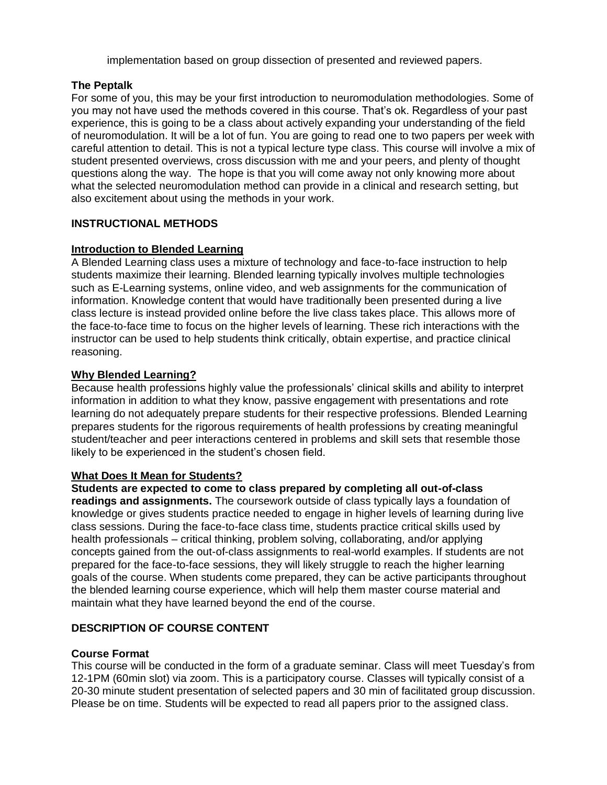implementation based on group dissection of presented and reviewed papers.

# **The Peptalk**

For some of you, this may be your first introduction to neuromodulation methodologies. Some of you may not have used the methods covered in this course. That's ok. Regardless of your past experience, this is going to be a class about actively expanding your understanding of the field of neuromodulation. It will be a lot of fun. You are going to read one to two papers per week with careful attention to detail. This is not a typical lecture type class. This course will involve a mix of student presented overviews, cross discussion with me and your peers, and plenty of thought questions along the way. The hope is that you will come away not only knowing more about what the selected neuromodulation method can provide in a clinical and research setting, but also excitement about using the methods in your work.

# **INSTRUCTIONAL METHODS**

# **Introduction to Blended Learning**

A Blended Learning class uses a mixture of technology and face-to-face instruction to help students maximize their learning. Blended learning typically involves multiple technologies such as E-Learning systems, online video, and web assignments for the communication of information. Knowledge content that would have traditionally been presented during a live class lecture is instead provided online before the live class takes place. This allows more of the face-to-face time to focus on the higher levels of learning. These rich interactions with the instructor can be used to help students think critically, obtain expertise, and practice clinical reasoning.

# **Why Blended Learning?**

Because health professions highly value the professionals' clinical skills and ability to interpret information in addition to what they know, passive engagement with presentations and rote learning do not adequately prepare students for their respective professions. Blended Learning prepares students for the rigorous requirements of health professions by creating meaningful student/teacher and peer interactions centered in problems and skill sets that resemble those likely to be experienced in the student's chosen field.

# **What Does It Mean for Students?**

# **Students are expected to come to class prepared by completing all out-of-class**

**readings and assignments.** The coursework outside of class typically lays a foundation of knowledge or gives students practice needed to engage in higher levels of learning during live class sessions. During the face-to-face class time, students practice critical skills used by health professionals – critical thinking, problem solving, collaborating, and/or applying concepts gained from the out-of-class assignments to real-world examples. If students are not prepared for the face-to-face sessions, they will likely struggle to reach the higher learning goals of the course. When students come prepared, they can be active participants throughout the blended learning course experience, which will help them master course material and maintain what they have learned beyond the end of the course.

# **DESCRIPTION OF COURSE CONTENT**

# **Course Format**

This course will be conducted in the form of a graduate seminar. Class will meet Tuesday's from 12-1PM (60min slot) via zoom. This is a participatory course. Classes will typically consist of a 20-30 minute student presentation of selected papers and 30 min of facilitated group discussion. Please be on time. Students will be expected to read all papers prior to the assigned class.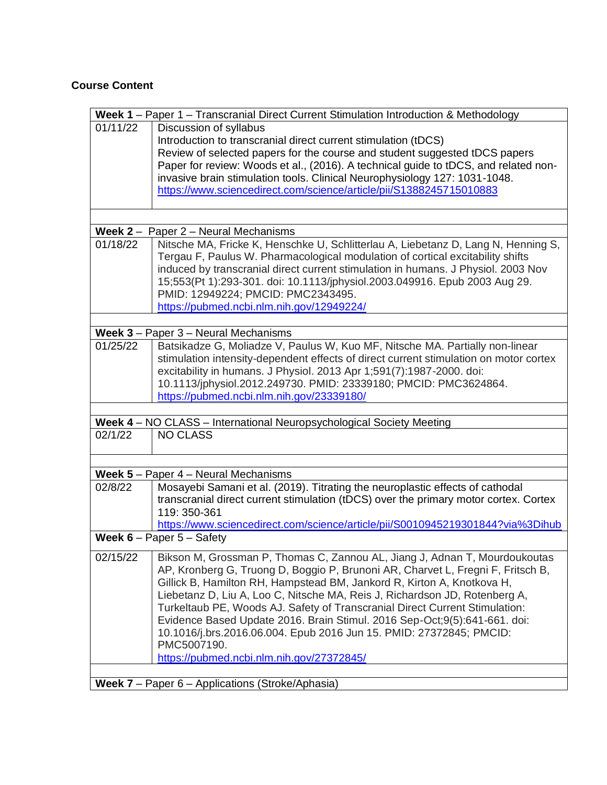# **Course Content**

|            | Week 1 - Paper 1 - Transcranial Direct Current Stimulation Introduction & Methodology                                                                    |
|------------|----------------------------------------------------------------------------------------------------------------------------------------------------------|
| 01/11/22   | Discussion of syllabus                                                                                                                                   |
|            | Introduction to transcranial direct current stimulation (tDCS)                                                                                           |
|            | Review of selected papers for the course and student suggested tDCS papers                                                                               |
|            | Paper for review: Woods et al., (2016). A technical guide to tDCS, and related non-                                                                      |
|            | invasive brain stimulation tools. Clinical Neurophysiology 127: 1031-1048.                                                                               |
|            | https://www.sciencedirect.com/science/article/pii/S1388245715010883                                                                                      |
|            |                                                                                                                                                          |
|            |                                                                                                                                                          |
| Week $2 -$ | Paper 2 - Neural Mechanisms                                                                                                                              |
| 01/18/22   | Nitsche MA, Fricke K, Henschke U, Schlitterlau A, Liebetanz D, Lang N, Henning S,                                                                        |
|            | Tergau F, Paulus W. Pharmacological modulation of cortical excitability shifts                                                                           |
|            | induced by transcranial direct current stimulation in humans. J Physiol. 2003 Nov                                                                        |
|            | 15;553(Pt 1):293-301. doi: 10.1113/jphysiol.2003.049916. Epub 2003 Aug 29.                                                                               |
|            | PMID: 12949224; PMCID: PMC2343495.                                                                                                                       |
|            | https://pubmed.ncbi.nlm.nih.gov/12949224/                                                                                                                |
|            |                                                                                                                                                          |
| 01/25/22   | Week 3 - Paper 3 - Neural Mechanisms                                                                                                                     |
|            | Batsikadze G, Moliadze V, Paulus W, Kuo MF, Nitsche MA. Partially non-linear                                                                             |
|            | stimulation intensity-dependent effects of direct current stimulation on motor cortex                                                                    |
|            | excitability in humans. J Physiol. 2013 Apr 1;591(7):1987-2000. doi:                                                                                     |
|            | 10.1113/jphysiol.2012.249730. PMID: 23339180; PMCID: PMC3624864.                                                                                         |
|            | https://pubmed.ncbi.nlm.nih.gov/23339180/                                                                                                                |
|            | Week 4 - NO CLASS - International Neuropsychological Society Meeting                                                                                     |
| 02/1/22    | <b>NO CLASS</b>                                                                                                                                          |
|            |                                                                                                                                                          |
|            |                                                                                                                                                          |
|            | <b>Week 5</b> - Paper $4$ - Neural Mechanisms                                                                                                            |
| 02/8/22    | Mosayebi Samani et al. (2019). Titrating the neuroplastic effects of cathodal                                                                            |
|            | transcranial direct current stimulation (tDCS) over the primary motor cortex. Cortex                                                                     |
|            | 119: 350-361                                                                                                                                             |
|            | https://www.sciencedirect.com/science/article/pii/S0010945219301844?via%3Dihub                                                                           |
|            | <b>Week 6</b> – Paper $5$ – Safety                                                                                                                       |
| 02/15/22   | Bikson M, Grossman P, Thomas C, Zannou AL, Jiang J, Adnan T, Mourdoukoutas                                                                               |
|            | AP, Kronberg G, Truong D, Boggio P, Brunoni AR, Charvet L, Fregni F, Fritsch B,                                                                          |
|            | Gillick B, Hamilton RH, Hampstead BM, Jankord R, Kirton A, Knotkova H,                                                                                   |
|            |                                                                                                                                                          |
|            | Liebetanz D, Liu A, Loo C, Nitsche MA, Reis J, Richardson JD, Rotenberg A,                                                                               |
|            | Turkeltaub PE, Woods AJ. Safety of Transcranial Direct Current Stimulation:<br>Evidence Based Update 2016. Brain Stimul. 2016 Sep-Oct;9(5):641-661. doi: |
|            |                                                                                                                                                          |
|            | 10.1016/j.brs.2016.06.004. Epub 2016 Jun 15. PMID: 27372845; PMCID:<br>PMC5007190.                                                                       |
|            | https://pubmed.ncbi.nlm.nih.gov/27372845/                                                                                                                |
|            |                                                                                                                                                          |
|            | <b>Week 7</b> – Paper $6$ – Applications (Stroke/Aphasia)                                                                                                |
|            |                                                                                                                                                          |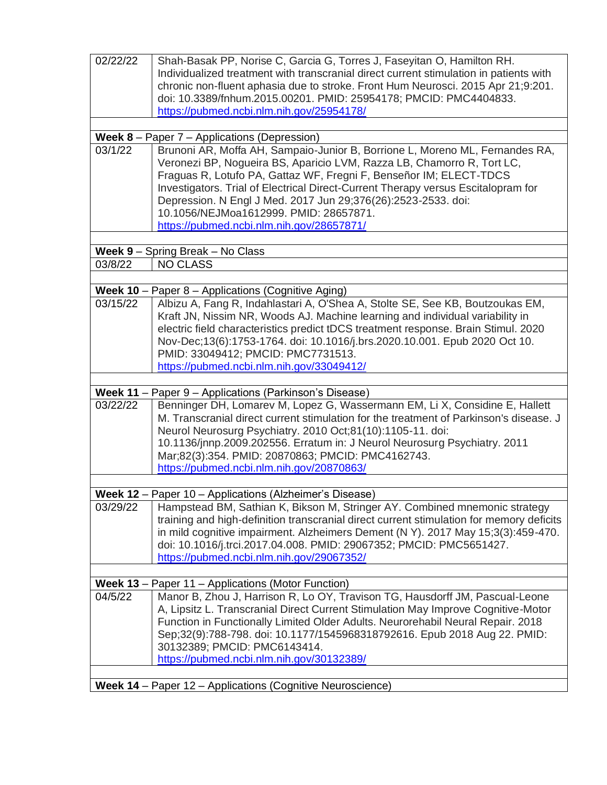| 02/22/22                     | Shah-Basak PP, Norise C, Garcia G, Torres J, Faseyitan O, Hamilton RH.                                                      |
|------------------------------|-----------------------------------------------------------------------------------------------------------------------------|
|                              | Individualized treatment with transcranial direct current stimulation in patients with                                      |
|                              | chronic non-fluent aphasia due to stroke. Front Hum Neurosci. 2015 Apr 21;9:201.                                            |
|                              | doi: 10.3389/fnhum.2015.00201. PMID: 25954178; PMCID: PMC4404833.                                                           |
|                              | https://pubmed.ncbi.nlm.nih.gov/25954178/                                                                                   |
|                              | Week 8 - Paper 7 - Applications (Depression)                                                                                |
| 03/1/22                      | Brunoni AR, Moffa AH, Sampaio-Junior B, Borrione L, Moreno ML, Fernandes RA,                                                |
|                              | Veronezi BP, Nogueira BS, Aparicio LVM, Razza LB, Chamorro R, Tort LC,                                                      |
|                              | Fraguas R, Lotufo PA, Gattaz WF, Fregni F, Benseñor IM; ELECT-TDCS                                                          |
|                              | Investigators. Trial of Electrical Direct-Current Therapy versus Escitalopram for                                           |
|                              | Depression. N Engl J Med. 2017 Jun 29;376(26):2523-2533. doi:                                                               |
|                              | 10.1056/NEJMoa1612999, PMID: 28657871.                                                                                      |
|                              | https://pubmed.ncbi.nlm.nih.gov/28657871/                                                                                   |
|                              |                                                                                                                             |
| 03/8/22                      | Week 9 - Spring Break - No Class<br><b>NO CLASS</b>                                                                         |
|                              |                                                                                                                             |
| Week $10 -$                  | Paper 8 – Applications (Cognitive Aging)                                                                                    |
| 03/15/22                     | Albizu A, Fang R, Indahlastari A, O'Shea A, Stolte SE, See KB, Boutzoukas EM,                                               |
|                              | Kraft JN, Nissim NR, Woods AJ. Machine learning and individual variability in                                               |
|                              | electric field characteristics predict tDCS treatment response. Brain Stimul. 2020                                          |
|                              | Nov-Dec;13(6):1753-1764. doi: 10.1016/j.brs.2020.10.001. Epub 2020 Oct 10.                                                  |
|                              | PMID: 33049412; PMCID: PMC7731513.                                                                                          |
|                              | https://pubmed.ncbi.nlm.nih.gov/33049412/                                                                                   |
|                              |                                                                                                                             |
| <b>Week 11 -</b><br>03/22/22 | Paper 9 - Applications (Parkinson's Disease)<br>Benninger DH, Lomarev M, Lopez G, Wassermann EM, Li X, Considine E, Hallett |
|                              | M. Transcranial direct current stimulation for the treatment of Parkinson's disease. J                                      |
|                              | Neurol Neurosurg Psychiatry. 2010 Oct;81(10):1105-11. doi:                                                                  |
|                              | 10.1136/jnnp.2009.202556. Erratum in: J Neurol Neurosurg Psychiatry. 2011                                                   |
|                              | Mar;82(3):354. PMID: 20870863; PMCID: PMC4162743.                                                                           |
|                              | https://pubmed.ncbi.nlm.nih.gov/20870863/                                                                                   |
|                              |                                                                                                                             |
|                              | Week 12 - Paper 10 - Applications (Alzheimer's Disease)                                                                     |
| 03/29/22                     | Hampstead BM, Sathian K, Bikson M, Stringer AY. Combined mnemonic strategy                                                  |
|                              | training and high-definition transcranial direct current stimulation for memory deficits                                    |
|                              | in mild cognitive impairment. Alzheimers Dement (N Y). 2017 May 15;3(3):459-470.                                            |
|                              | doi: 10.1016/j.trci.2017.04.008. PMID: 29067352; PMCID: PMC5651427.<br>https://pubmed.ncbi.nlm.nih.gov/29067352/            |
|                              |                                                                                                                             |
|                              | <b>Week 13</b> – Paper 11 – Applications (Motor Function)                                                                   |
| 04/5/22                      | Manor B, Zhou J, Harrison R, Lo OY, Travison TG, Hausdorff JM, Pascual-Leone                                                |
|                              | A, Lipsitz L. Transcranial Direct Current Stimulation May Improve Cognitive-Motor                                           |
|                              | Function in Functionally Limited Older Adults. Neurorehabil Neural Repair. 2018                                             |
|                              | Sep;32(9):788-798. doi: 10.1177/1545968318792616. Epub 2018 Aug 22. PMID:                                                   |
|                              | 30132389; PMCID: PMC6143414.                                                                                                |
|                              | https://pubmed.ncbi.nlm.nih.gov/30132389/                                                                                   |
|                              |                                                                                                                             |
|                              | Week 14 - Paper 12 - Applications (Cognitive Neuroscience)                                                                  |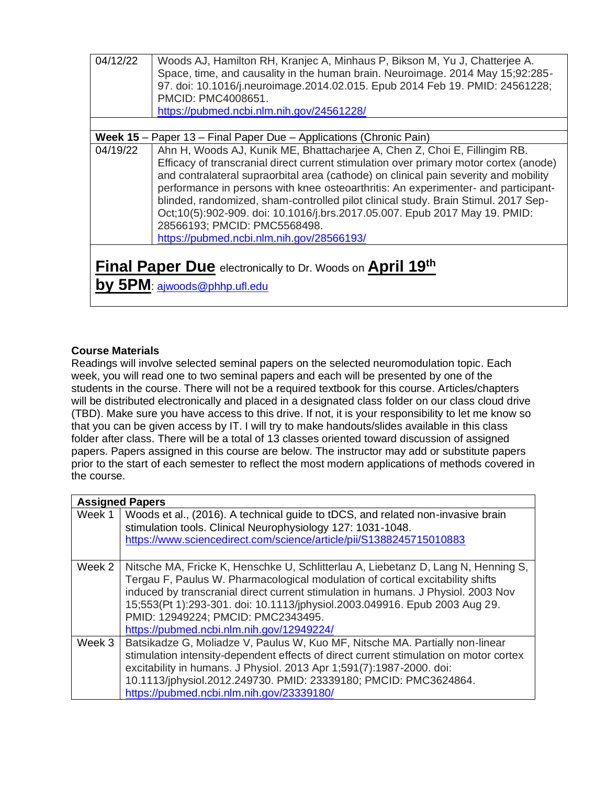| 04/12/22                                                                                                   | Woods AJ, Hamilton RH, Kranjec A, Minhaus P, Bikson M, Yu J, Chatterjee A.<br>Space, time, and causality in the human brain. Neuroimage. 2014 May 15;92:285-<br>97. doi: 10.1016/j.neuroimage.2014.02.015. Epub 2014 Feb 19. PMID: 24561228;<br>PMCID: PMC4008651.<br>https://pubmed.ncbi.nlm.nih.gov/24561228/                                                                                                                                                                                                                                                                                   |  |  |  |  |  |  |  |
|------------------------------------------------------------------------------------------------------------|---------------------------------------------------------------------------------------------------------------------------------------------------------------------------------------------------------------------------------------------------------------------------------------------------------------------------------------------------------------------------------------------------------------------------------------------------------------------------------------------------------------------------------------------------------------------------------------------------|--|--|--|--|--|--|--|
|                                                                                                            |                                                                                                                                                                                                                                                                                                                                                                                                                                                                                                                                                                                                   |  |  |  |  |  |  |  |
|                                                                                                            | <b>Week 15</b> – Paper 13 – Final Paper Due – Applications (Chronic Pain)                                                                                                                                                                                                                                                                                                                                                                                                                                                                                                                         |  |  |  |  |  |  |  |
| 04/19/22                                                                                                   | Ahn H, Woods AJ, Kunik ME, Bhattacharjee A, Chen Z, Choi E, Fillingim RB.<br>Efficacy of transcranial direct current stimulation over primary motor cortex (anode)<br>and contralateral supraorbital area (cathode) on clinical pain severity and mobility<br>performance in persons with knee osteoarthritis: An experimenter- and participant-<br>blinded, randomized, sham-controlled pilot clinical study. Brain Stimul. 2017 Sep-<br>Oct;10(5):902-909. doi: 10.1016/j.brs.2017.05.007. Epub 2017 May 19. PMID:<br>28566193; PMCID: PMC5568498.<br>https://pubmed.ncbi.nlm.nih.gov/28566193/ |  |  |  |  |  |  |  |
| <b>Final Paper Due</b> electronically to Dr. Woods on <b>April 19th</b><br>by $5PM$ : ajwoods@phhp.ufl.edu |                                                                                                                                                                                                                                                                                                                                                                                                                                                                                                                                                                                                   |  |  |  |  |  |  |  |

# **Course Materials**

Readings will involve selected seminal papers on the selected neuromodulation topic. Each week, you will read one to two seminal papers and each will be presented by one of the students in the course. There will not be a required textbook for this course. Articles/chapters will be distributed electronically and placed in a designated class folder on our class cloud drive (TBD). Make sure you have access to this drive. If not, it is your responsibility to let me know so that you can be given access by IT. I will try to make handouts/slides available in this class folder after class. There will be a total of 13 classes oriented toward discussion of assigned papers. Papers assigned in this course are below. The instructor may add or substitute papers prior to the start of each semester to reflect the most modern applications of methods covered in the course.

|        | <b>Assigned Papers</b>                                                                                                                                                                                                                                                                                                                                                                                                    |
|--------|---------------------------------------------------------------------------------------------------------------------------------------------------------------------------------------------------------------------------------------------------------------------------------------------------------------------------------------------------------------------------------------------------------------------------|
| Week 1 | Woods et al., (2016). A technical guide to tDCS, and related non-invasive brain<br>stimulation tools. Clinical Neurophysiology 127: 1031-1048.<br>https://www.sciencedirect.com/science/article/pii/S1388245715010883                                                                                                                                                                                                     |
| Week 2 | Nitsche MA, Fricke K, Henschke U, Schlitterlau A, Liebetanz D, Lang N, Henning S,<br>Tergau F, Paulus W. Pharmacological modulation of cortical excitability shifts<br>induced by transcranial direct current stimulation in humans. J Physiol. 2003 Nov<br>15;553(Pt 1):293-301. doi: 10.1113/jphysiol.2003.049916. Epub 2003 Aug 29.<br>PMID: 12949224; PMCID: PMC2343495.<br>https://pubmed.ncbi.nlm.nih.gov/12949224/ |
| Week 3 | Batsikadze G, Moliadze V, Paulus W, Kuo MF, Nitsche MA. Partially non-linear<br>stimulation intensity-dependent effects of direct current stimulation on motor cortex<br>excitability in humans. J Physiol. 2013 Apr 1;591(7):1987-2000. doi:<br>10.1113/jphysiol.2012.249730. PMID: 23339180; PMCID: PMC3624864.<br>https://pubmed.ncbi.nlm.nih.gov/23339180/                                                            |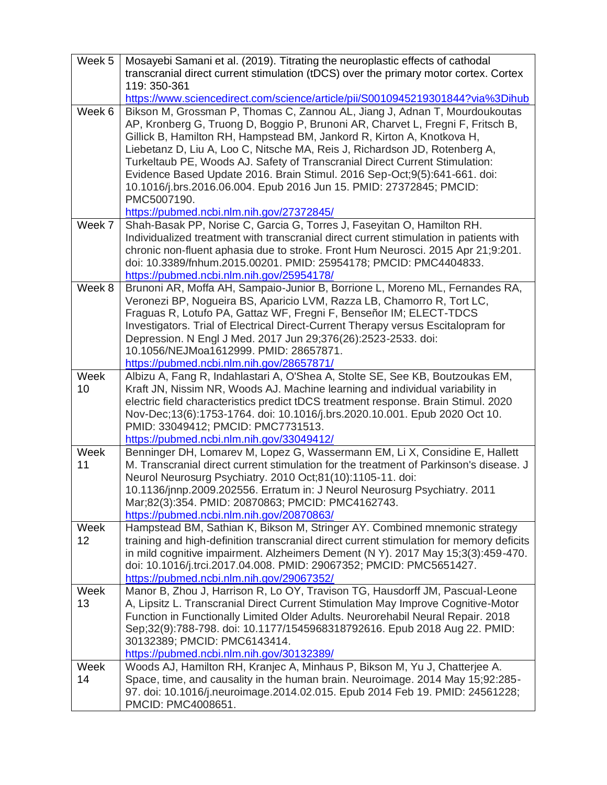| Week 5     | Mosayebi Samani et al. (2019). Titrating the neuroplastic effects of cathodal<br>transcranial direct current stimulation (tDCS) over the primary motor cortex. Cortex<br>119: 350-361                                                                                                                                                                                                                                                                                                                                                                                                                                |
|------------|----------------------------------------------------------------------------------------------------------------------------------------------------------------------------------------------------------------------------------------------------------------------------------------------------------------------------------------------------------------------------------------------------------------------------------------------------------------------------------------------------------------------------------------------------------------------------------------------------------------------|
|            | https://www.sciencedirect.com/science/article/pii/S0010945219301844?via%3Dihub                                                                                                                                                                                                                                                                                                                                                                                                                                                                                                                                       |
| Week 6     | Bikson M, Grossman P, Thomas C, Zannou AL, Jiang J, Adnan T, Mourdoukoutas<br>AP, Kronberg G, Truong D, Boggio P, Brunoni AR, Charvet L, Fregni F, Fritsch B,<br>Gillick B, Hamilton RH, Hampstead BM, Jankord R, Kirton A, Knotkova H,<br>Liebetanz D, Liu A, Loo C, Nitsche MA, Reis J, Richardson JD, Rotenberg A,<br>Turkeltaub PE, Woods AJ. Safety of Transcranial Direct Current Stimulation:<br>Evidence Based Update 2016. Brain Stimul. 2016 Sep-Oct;9(5):641-661. doi:<br>10.1016/j.brs.2016.06.004. Epub 2016 Jun 15. PMID: 27372845; PMCID:<br>PMC5007190.<br>https://pubmed.ncbi.nlm.nih.gov/27372845/ |
| Week 7     | Shah-Basak PP, Norise C, Garcia G, Torres J, Faseyitan O, Hamilton RH.                                                                                                                                                                                                                                                                                                                                                                                                                                                                                                                                               |
|            | Individualized treatment with transcranial direct current stimulation in patients with<br>chronic non-fluent aphasia due to stroke. Front Hum Neurosci. 2015 Apr 21;9:201.<br>doi: 10.3389/fnhum.2015.00201. PMID: 25954178; PMCID: PMC4404833.<br>https://pubmed.ncbi.nlm.nih.gov/25954178/                                                                                                                                                                                                                                                                                                                         |
| Week 8     | Brunoni AR, Moffa AH, Sampaio-Junior B, Borrione L, Moreno ML, Fernandes RA,<br>Veronezi BP, Nogueira BS, Aparicio LVM, Razza LB, Chamorro R, Tort LC,<br>Fraguas R, Lotufo PA, Gattaz WF, Fregni F, Benseñor IM; ELECT-TDCS<br>Investigators. Trial of Electrical Direct-Current Therapy versus Escitalopram for<br>Depression. N Engl J Med. 2017 Jun 29;376(26):2523-2533. doi:<br>10.1056/NEJMoa1612999. PMID: 28657871.<br>https://pubmed.ncbi.nlm.nih.gov/28657871/                                                                                                                                            |
| Week       | Albizu A, Fang R, Indahlastari A, O'Shea A, Stolte SE, See KB, Boutzoukas EM,                                                                                                                                                                                                                                                                                                                                                                                                                                                                                                                                        |
| 10         | Kraft JN, Nissim NR, Woods AJ. Machine learning and individual variability in<br>electric field characteristics predict tDCS treatment response. Brain Stimul. 2020<br>Nov-Dec;13(6):1753-1764. doi: 10.1016/j.brs.2020.10.001. Epub 2020 Oct 10.<br>PMID: 33049412; PMCID: PMC7731513.<br>https://pubmed.ncbi.nlm.nih.gov/33049412/                                                                                                                                                                                                                                                                                 |
| Week<br>11 | Benninger DH, Lomarev M, Lopez G, Wassermann EM, Li X, Considine E, Hallett<br>M. Transcranial direct current stimulation for the treatment of Parkinson's disease. J<br>Neurol Neurosurg Psychiatry. 2010 Oct;81(10):1105-11. doi:                                                                                                                                                                                                                                                                                                                                                                                  |
|            | 10.1136/jnnp.2009.202556. Erratum in: J Neurol Neurosurg Psychiatry. 2011<br>Mar;82(3):354. PMID: 20870863; PMCID: PMC4162743.<br>https://pubmed.ncbi.nlm.nih.gov/20870863/                                                                                                                                                                                                                                                                                                                                                                                                                                          |
| Week       | Hampstead BM, Sathian K, Bikson M, Stringer AY. Combined mnemonic strategy                                                                                                                                                                                                                                                                                                                                                                                                                                                                                                                                           |
| 12         | training and high-definition transcranial direct current stimulation for memory deficits                                                                                                                                                                                                                                                                                                                                                                                                                                                                                                                             |
|            | in mild cognitive impairment. Alzheimers Dement (N Y). 2017 May 15;3(3):459-470.<br>doi: 10.1016/j.trci.2017.04.008. PMID: 29067352; PMCID: PMC5651427.<br>https://pubmed.ncbi.nlm.nih.gov/29067352/                                                                                                                                                                                                                                                                                                                                                                                                                 |
| Week       | Manor B, Zhou J, Harrison R, Lo OY, Travison TG, Hausdorff JM, Pascual-Leone                                                                                                                                                                                                                                                                                                                                                                                                                                                                                                                                         |
| 13         | A, Lipsitz L. Transcranial Direct Current Stimulation May Improve Cognitive-Motor<br>Function in Functionally Limited Older Adults. Neurorehabil Neural Repair. 2018<br>Sep;32(9):788-798. doi: 10.1177/1545968318792616. Epub 2018 Aug 22. PMID:<br>30132389; PMCID: PMC6143414.                                                                                                                                                                                                                                                                                                                                    |
| Week       | https://pubmed.ncbi.nlm.nih.gov/30132389/<br>Woods AJ, Hamilton RH, Kranjec A, Minhaus P, Bikson M, Yu J, Chatterjee A.                                                                                                                                                                                                                                                                                                                                                                                                                                                                                              |
| 14         | Space, time, and causality in the human brain. Neuroimage. 2014 May 15;92:285-<br>97. doi: 10.1016/j.neuroimage.2014.02.015. Epub 2014 Feb 19. PMID: 24561228;<br>PMCID: PMC4008651.                                                                                                                                                                                                                                                                                                                                                                                                                                 |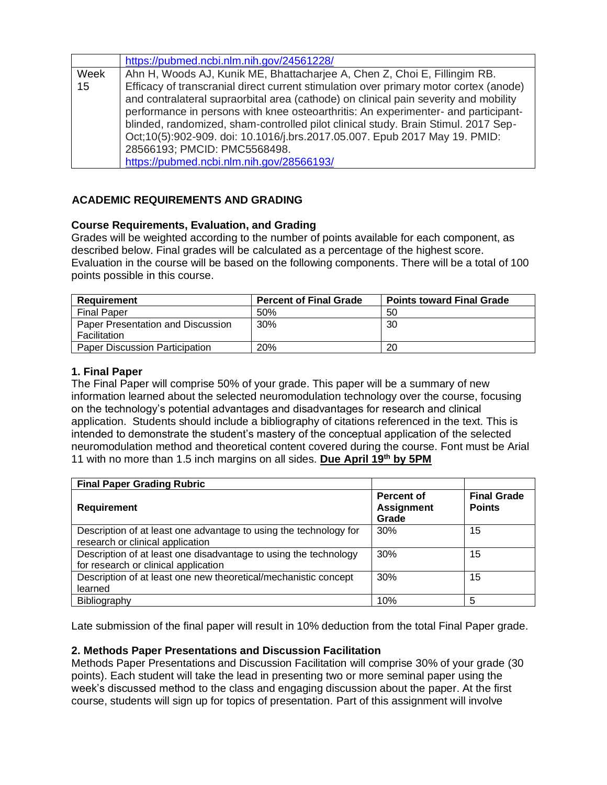|      | https://pubmed.ncbi.nlm.nih.gov/24561228/                                                                                                                                                                                                                        |
|------|------------------------------------------------------------------------------------------------------------------------------------------------------------------------------------------------------------------------------------------------------------------|
| Week | Ahn H, Woods AJ, Kunik ME, Bhattacharjee A, Chen Z, Choi E, Fillingim RB.                                                                                                                                                                                        |
| 15   | Efficacy of transcranial direct current stimulation over primary motor cortex (anode)                                                                                                                                                                            |
|      | and contralateral supraorbital area (cathode) on clinical pain severity and mobility<br>performance in persons with knee osteoarthritis: An experimenter- and participant-<br>blinded, randomized, sham-controlled pilot clinical study. Brain Stimul. 2017 Sep- |
|      | Oct;10(5):902-909. doi: 10.1016/j.brs.2017.05.007. Epub 2017 May 19. PMID:                                                                                                                                                                                       |
|      | 28566193; PMCID: PMC5568498.                                                                                                                                                                                                                                     |
|      | https://pubmed.ncbi.nlm.nih.gov/28566193/                                                                                                                                                                                                                        |

# **ACADEMIC REQUIREMENTS AND GRADING**

# **Course Requirements, Evaluation, and Grading**

Grades will be weighted according to the number of points available for each component, as described below. Final grades will be calculated as a percentage of the highest score. Evaluation in the course will be based on the following components. There will be a total of 100 points possible in this course.

| Requirement                                       | <b>Percent of Final Grade</b> | <b>Points toward Final Grade</b> |
|---------------------------------------------------|-------------------------------|----------------------------------|
| <b>Final Paper</b>                                | 50%                           | 50                               |
| Paper Presentation and Discussion<br>Facilitation | $30\%$                        | 30                               |
| <b>Paper Discussion Participation</b>             | <b>20%</b>                    | 20                               |

# **1. Final Paper**

The Final Paper will comprise 50% of your grade. This paper will be a summary of new information learned about the selected neuromodulation technology over the course, focusing on the technology's potential advantages and disadvantages for research and clinical application. Students should include a bibliography of citations referenced in the text. This is intended to demonstrate the student's mastery of the conceptual application of the selected neuromodulation method and theoretical content covered during the course. Font must be Arial 11 with no more than 1.5 inch margins on all sides. **Due April 19 th by 5PM**

| <b>Final Paper Grading Rubric</b>                                                                        |                                          |                                     |
|----------------------------------------------------------------------------------------------------------|------------------------------------------|-------------------------------------|
| <b>Requirement</b>                                                                                       | Percent of<br><b>Assignment</b><br>Grade | <b>Final Grade</b><br><b>Points</b> |
| Description of at least one advantage to using the technology for<br>research or clinical application    | 30%                                      | 15                                  |
| Description of at least one disadvantage to using the technology<br>for research or clinical application | 30%                                      | 15                                  |
| Description of at least one new theoretical/mechanistic concept<br>learned                               | 30%                                      | 15                                  |
| Bibliography                                                                                             | 10%                                      | 5                                   |

Late submission of the final paper will result in 10% deduction from the total Final Paper grade.

# **2. Methods Paper Presentations and Discussion Facilitation**

Methods Paper Presentations and Discussion Facilitation will comprise 30% of your grade (30 points). Each student will take the lead in presenting two or more seminal paper using the week's discussed method to the class and engaging discussion about the paper. At the first course, students will sign up for topics of presentation. Part of this assignment will involve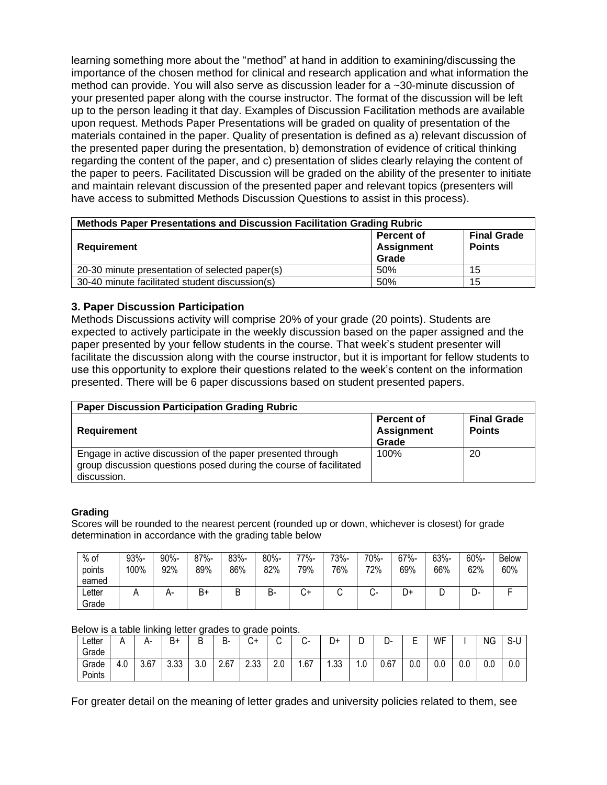learning something more about the "method" at hand in addition to examining/discussing the importance of the chosen method for clinical and research application and what information the method can provide. You will also serve as discussion leader for a ~30-minute discussion of your presented paper along with the course instructor. The format of the discussion will be left up to the person leading it that day. Examples of Discussion Facilitation methods are available upon request. Methods Paper Presentations will be graded on quality of presentation of the materials contained in the paper. Quality of presentation is defined as a) relevant discussion of the presented paper during the presentation, b) demonstration of evidence of critical thinking regarding the content of the paper, and c) presentation of slides clearly relaying the content of the paper to peers. Facilitated Discussion will be graded on the ability of the presenter to initiate and maintain relevant discussion of the presented paper and relevant topics (presenters will have access to submitted Methods Discussion Questions to assist in this process).

| Methods Paper Presentations and Discussion Facilitation Grading Rubric |                                                 |                                     |  |  |  |  |  |  |
|------------------------------------------------------------------------|-------------------------------------------------|-------------------------------------|--|--|--|--|--|--|
| Requirement                                                            | <b>Percent of</b><br><b>Assignment</b><br>Grade | <b>Final Grade</b><br><b>Points</b> |  |  |  |  |  |  |
| 20-30 minute presentation of selected paper(s)                         | 50%                                             | 15                                  |  |  |  |  |  |  |
| 30-40 minute facilitated student discussion(s)                         | 50%                                             | 15                                  |  |  |  |  |  |  |

# **3. Paper Discussion Participation**

Methods Discussions activity will comprise 20% of your grade (20 points). Students are expected to actively participate in the weekly discussion based on the paper assigned and the paper presented by your fellow students in the course. That week's student presenter will facilitate the discussion along with the course instructor, but it is important for fellow students to use this opportunity to explore their questions related to the week's content on the information presented. There will be 6 paper discussions based on student presented papers.

| <b>Paper Discussion Participation Grading Rubric</b>                                                                                           |                                                 |                                     |  |  |  |  |  |  |  |
|------------------------------------------------------------------------------------------------------------------------------------------------|-------------------------------------------------|-------------------------------------|--|--|--|--|--|--|--|
| Requirement                                                                                                                                    | <b>Percent of</b><br><b>Assignment</b><br>Grade | <b>Final Grade</b><br><b>Points</b> |  |  |  |  |  |  |  |
| Engage in active discussion of the paper presented through<br>group discussion questions posed during the course of facilitated<br>discussion. | 100%                                            | 20                                  |  |  |  |  |  |  |  |

#### **Grading**

Scores will be rounded to the nearest percent (rounded up or down, whichever is closest) for grade determination in accordance with the grading table below

| $%$ of<br>points<br>earned | 93%-<br>100% | 90%-<br>92% | $87% -$<br>89% | 83%-<br>86% | 80%-<br>82% | 77%-<br>79% | 73%-<br>76% | 70%-<br>72%  | 67%-<br>69% | 63%-<br>66% | 60%-<br>62% | <b>Below</b><br>60% |
|----------------------------|--------------|-------------|----------------|-------------|-------------|-------------|-------------|--------------|-------------|-------------|-------------|---------------------|
| ∟etter<br>Grade            |              | $H^-$       | B+             |             | Β.          | J+          |             | $\mathbf{v}$ | +ر          | ◡           | ∽<br>- ب    |                     |

Below is a table linking letter grades to grade points.

| ∟etter | ┓   | n-   | Β+               | -<br>◡               | D<br>D- | $\sim$<br>~ب       | ⌒             | ⌒<br>$\sim$<br>◡ | D+        | ◡   | . .<br>້ | -<br>٠<br>- | WF  |     | ΝG            | r<br>ა-u |
|--------|-----|------|------------------|----------------------|---------|--------------------|---------------|------------------|-----------|-----|----------|-------------|-----|-----|---------------|----------|
| Grade  |     |      |                  |                      |         |                    |               |                  |           |     |          |             |     |     |               |          |
| Grade  | 4.0 | 3.67 | วว<br>◠<br>ິບ.ບບ | $\sim$ $\sim$<br>3.U | 2.67    | <b>しょう</b><br>ںں.ے | $\sim$<br>2.U | .67              | ົດ<br>.ں. | ı.u | 0.67     | U.C         | 0.0 | 0.0 | $\sim$<br>v.v | 0.0      |
| Points |     |      |                  |                      |         |                    |               |                  |           |     |          |             |     |     |               |          |

For greater detail on the meaning of letter grades and university policies related to them, see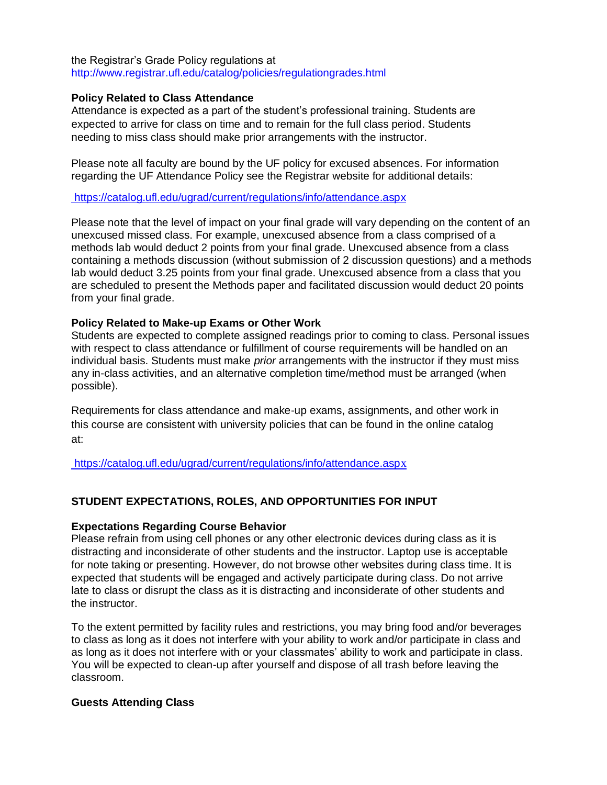the Registrar's Grade Policy regulations at http://www.registrar.ufl.edu/catalog/policies/regulationgrades.html

### **Policy Related to Class Attendance**

Attendance is expected as a part of the student's professional training. Students are expected to arrive for class on time and to remain for the full class period. Students needing to miss class should make prior arrangements with the instructor.

Please note all faculty are bound by the UF policy for excused absences. For information regarding the UF Attendance Policy see the Registrar website for additional details:

<https://catalog.ufl.edu/ugrad/current/regulations/info/attendance.aspx>

Please note that the level of impact on your final grade will vary depending on the content of an unexcused missed class. For example, unexcused absence from a class comprised of a methods lab would deduct 2 points from your final grade. Unexcused absence from a class containing a methods discussion (without submission of 2 discussion questions) and a methods lab would deduct 3.25 points from your final grade. Unexcused absence from a class that you are scheduled to present the Methods paper and facilitated discussion would deduct 20 points from your final grade.

### **Policy Related to Make-up Exams or Other Work**

Students are expected to complete assigned readings prior to coming to class. Personal issues with respect to class attendance or fulfillment of course requirements will be handled on an individual basis. Students must make *prior* arrangements with the instructor if they must miss any in-class activities, and an alternative completion time/method must be arranged (when possible).

Requirements for class attendance and make-up exams, assignments, and other work in this course are consistent with university policies that can be found in the online catalog at:

[https://catalog.ufl.edu/ugrad/current/regulations/info/attendance.asp](https://catalog.ufl.edu/ugrad/current/regulations/info/attendance.aspx)x

# **STUDENT EXPECTATIONS, ROLES, AND OPPORTUNITIES FOR INPUT**

### **Expectations Regarding Course Behavior**

Please refrain from using cell phones or any other electronic devices during class as it is distracting and inconsiderate of other students and the instructor. Laptop use is acceptable for note taking or presenting. However, do not browse other websites during class time. It is expected that students will be engaged and actively participate during class. Do not arrive late to class or disrupt the class as it is distracting and inconsiderate of other students and the instructor.

To the extent permitted by facility rules and restrictions, you may bring food and/or beverages to class as long as it does not interfere with your ability to work and/or participate in class and as long as it does not interfere with or your classmates' ability to work and participate in class. You will be expected to clean-up after yourself and dispose of all trash before leaving the classroom.

### **Guests Attending Class**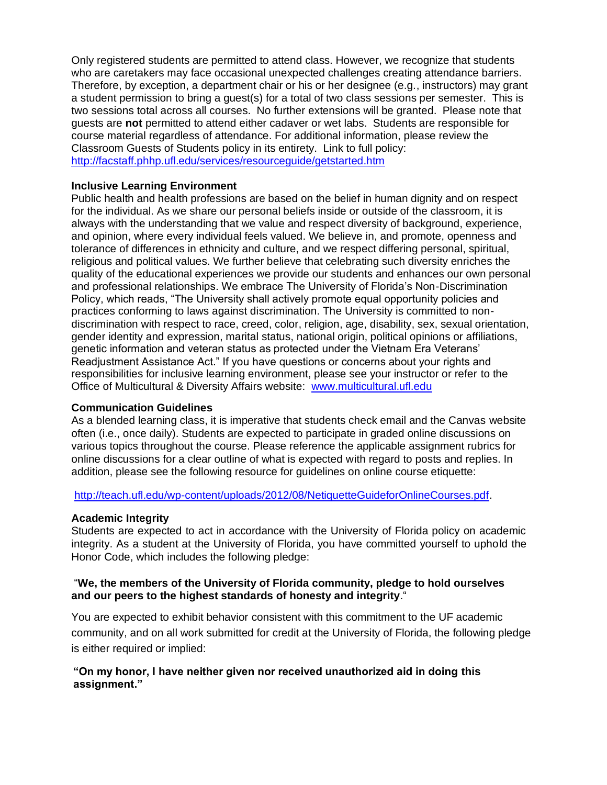Only registered students are permitted to attend class. However, we recognize that students who are caretakers may face occasional unexpected challenges creating attendance barriers. Therefore, by exception, a department chair or his or her designee (e.g., instructors) may grant a student permission to bring a guest(s) for a total of two class sessions per semester. This is two sessions total across all courses. No further extensions will be granted. Please note that guests are **not** permitted to attend either cadaver or wet labs. Students are responsible for course material regardless of attendance. For additional information, please review the Classroom Guests of Students policy in its entirety. Link to full policy: <http://facstaff.phhp.ufl.edu/services/resourceguide/getstarted.htm>

### **Inclusive Learning Environment**

Public health and health professions are based on the belief in human dignity and on respect for the individual. As we share our personal beliefs inside or outside of the classroom, it is always with the understanding that we value and respect diversity of background, experience, and opinion, where every individual feels valued. We believe in, and promote, openness and tolerance of differences in ethnicity and culture, and we respect differing personal, spiritual, religious and political values. We further believe that celebrating such diversity enriches the quality of the educational experiences we provide our students and enhances our own personal and professional relationships. We embrace The University of Florida's Non-Discrimination Policy, which reads, "The University shall actively promote equal opportunity policies and practices conforming to laws against discrimination. The University is committed to nondiscrimination with respect to race, creed, color, religion, age, disability, sex, sexual orientation, gender identity and expression, marital status, national origin, political opinions or affiliations, genetic information and veteran status as protected under the Vietnam Era Veterans' Readjustment Assistance Act." If you have questions or concerns about your rights and responsibilities for inclusive learning environment, please see your instructor or refer to the Office of Multicultural & Diversity Affairs website: [www.multicultural.ufl.edu](http://www.multicultural.ufl.edu/)

### **Communication Guidelines**

As a blended learning class, it is imperative that students check email and the Canvas website often (i.e., once daily). Students are expected to participate in graded online discussions on various topics throughout the course. Please reference the applicable assignment rubrics for online discussions for a clear outline of what is expected with regard to posts and replies. In addition, please see the following resource for guidelines on online course etiquette:

[http://teach.ufl.edu/wp-content/uploads/2012/08/NetiquetteGuideforOnlineCourses.pdf.](http://teach.ufl.edu/wp-content/uploads/2012/08/NetiquetteGuideforOnlineCourses.pdf)

# **Academic Integrity**

Students are expected to act in accordance with the University of Florida policy on academic integrity. As a student at the University of Florida, you have committed yourself to uphold the Honor Code, which includes the following pledge:

### "**We, the members of the University of Florida community, pledge to hold ourselves and our peers to the highest standards of honesty and integrity**."

You are expected to exhibit behavior consistent with this commitment to the UF academic community, and on all work submitted for credit at the University of Florida, the following pledge is either required or implied:

# **"On my honor, I have neither given nor received unauthorized aid in doing this assignment."**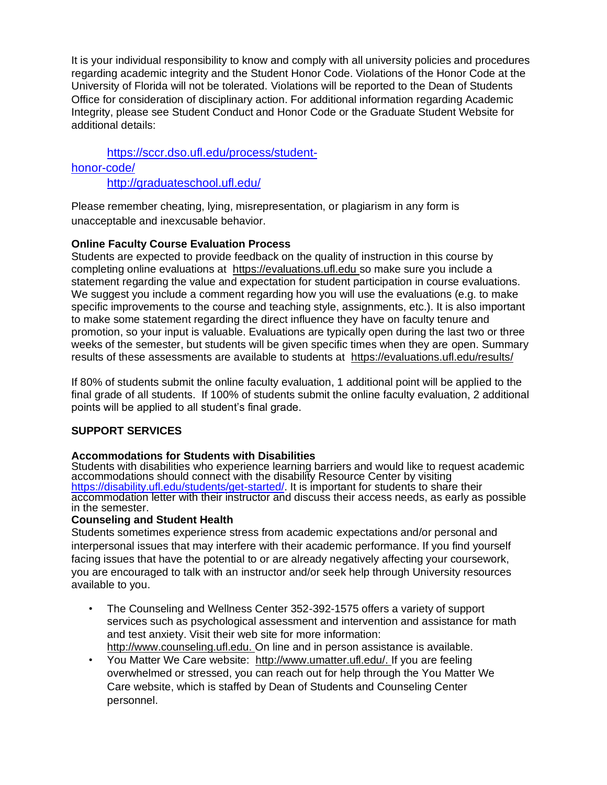It is your individual responsibility to know and comply with all university policies and procedures regarding academic integrity and the Student Honor Code. Violations of the Honor Code at the University of Florida will not be tolerated. Violations will be reported to the Dean of Students Office for consideration of disciplinary action. For additional information regarding Academic Integrity, please see Student Conduct and Honor Code or the Graduate Student Website for additional details:

[https://sccr.dso.ufl.edu/process/student](https://sccr.dso.ufl.edu/process/student-honor-code/)[honor-code/](https://sccr.dso.ufl.edu/process/student-honor-code/) <http://graduateschool.ufl.edu/>

Please remember cheating, lying, misrepresentation, or plagiarism in any form is unacceptable and inexcusable behavior.

# **Online Faculty Course Evaluation Process**

Students are expected to provide feedback on the quality of instruction in this course by completing online evaluations at [https://evaluations.ufl.edu](https://evaluations.ufl.edu/) so make sure you include a statement regarding the value and expectation for student participation in course evaluations. We suggest you include a comment regarding how you will use the evaluations (e.g. to make specific improvements to the course and teaching style, assignments, etc.). It is also important to make some statement regarding the direct influence they have on faculty tenure and promotion, so your input is valuable. Evaluations are typically open during the last two or three weeks of the semester, but students will be given specific times when they are open. Summary results of these assessments are available to students at [https://evaluations.ufl.edu/results/](https://evaluations.ufl.edu/results/Â )

If 80% of students submit the online faculty evaluation, 1 additional point will be applied to the final grade of all students. If 100% of students submit the online faculty evaluation, 2 additional points will be applied to all student's final grade.

# **SUPPORT SERVICES**

# **Accommodations for Students with Disabilities**

Students with disabilities who experience learning barriers and would like to request academic accommodations should connect with the disability Resource Center by visiting [https://disability.ufl.edu/students/get-started/.](https://disability.ufl.edu/students/get-started/) It is important for students to share their accommodation letter with their instructor and discuss their access needs, as early as possible in the semester.

### **Counseling and Student Health**

Students sometimes experience stress from academic expectations and/or personal and interpersonal issues that may interfere with their academic performance. If you find yourself facing issues that have the potential to or are already negatively affecting your coursework, you are encouraged to talk with an instructor and/or seek help through University resources available to you.

- The Counseling and Wellness Center 352-392-1575 offers a variety of support services such as psychological assessment and intervention and assistance for math and test anxiety. Visit their web site for more information: [http://www.counseling.ufl.edu.](http://www.counseling.ufl.edu/) On line and in person assistance is available.
- You Matter We Care website: [http://www.umatter.ufl.edu/.](http://www.umatter.ufl.edu/) If you are feeling overwhelmed or stressed, you can reach out for help through the You Matter We Care website, which is staffed by Dean of Students and Counseling Center personnel.